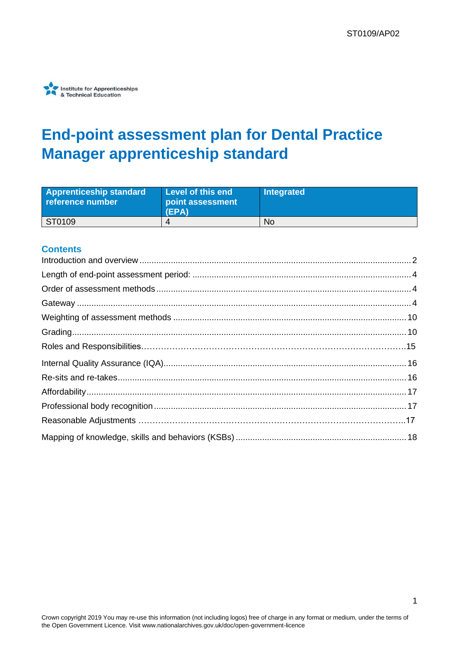

# **End-point assessment plan for Dental Practice Manager apprenticeship standard**

| <b>Apprenticeship standard</b><br>reference number | Level of this end<br>point assessment<br>(EPA) | Integrated |
|----------------------------------------------------|------------------------------------------------|------------|
| ST0109                                             |                                                | No         |

#### **Contents**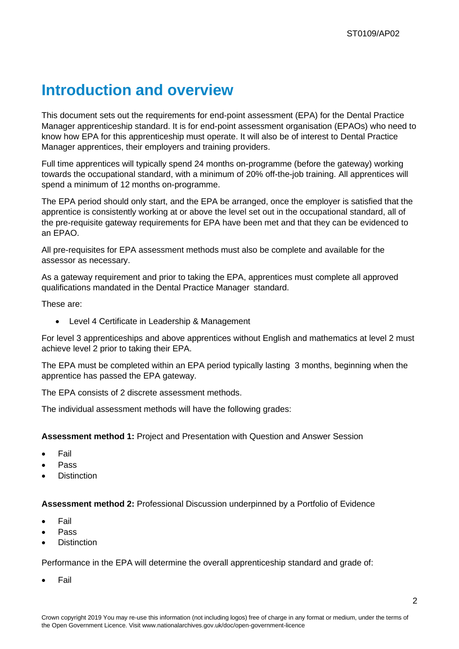## <span id="page-1-0"></span>**Introduction and overview**

This document sets out the requirements for end-point assessment (EPA) for the Dental Practice Manager apprenticeship standard. It is for end-point assessment organisation (EPAOs) who need to know how EPA for this apprenticeship must operate. It will also be of interest to Dental Practice Manager apprentices, their employers and training providers.

Full time apprentices will typically spend 24 months on-programme (before the gateway) working towards the occupational standard, with a minimum of 20% off-the-job training. All apprentices will spend a minimum of 12 months on-programme.

The EPA period should only start, and the EPA be arranged, once the employer is satisfied that the apprentice is consistently working at or above the level set out in the occupational standard, all of the pre-requisite gateway requirements for EPA have been met and that they can be evidenced to an EPAO.

All pre-requisites for EPA assessment methods must also be complete and available for the assessor as necessary.

As a gateway requirement and prior to taking the EPA, apprentices must complete all approved qualifications mandated in the Dental Practice Manager standard.

These are:

• Level 4 Certificate in Leadership & Management

For level 3 apprenticeships and above apprentices without English and mathematics at level 2 must achieve level 2 prior to taking their EPA.

The EPA must be completed within an EPA period typically lasting 3 months, beginning when the apprentice has passed the EPA gateway.

The EPA consists of 2 discrete assessment methods.

The individual assessment methods will have the following grades:

**Assessment method 1:** Project and Presentation with Question and Answer Session

- Fail
- Pass
- **Distinction**

**Assessment method 2:** Professional Discussion underpinned by a Portfolio of Evidence

- **Fail**
- Pass
- **Distinction**

Performance in the EPA will determine the overall apprenticeship standard and grade of:

**Fail**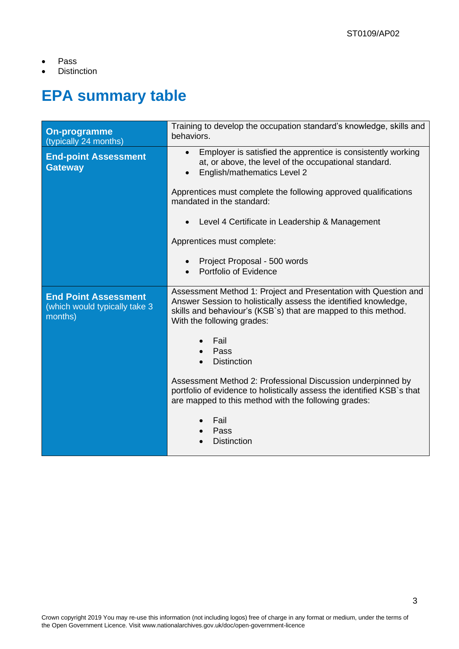- Pass
- Distinction

## **EPA summary table**

| <b>On-programme</b><br>(typically 24 months)                            | Training to develop the occupation standard's knowledge, skills and<br>behaviors.                                                                                                                                                  |  |
|-------------------------------------------------------------------------|------------------------------------------------------------------------------------------------------------------------------------------------------------------------------------------------------------------------------------|--|
| <b>End-point Assessment</b><br><b>Gateway</b>                           | Employer is satisfied the apprentice is consistently working<br>$\bullet$<br>at, or above, the level of the occupational standard.<br>English/mathematics Level 2                                                                  |  |
|                                                                         | Apprentices must complete the following approved qualifications<br>mandated in the standard:                                                                                                                                       |  |
|                                                                         | Level 4 Certificate in Leadership & Management                                                                                                                                                                                     |  |
|                                                                         | Apprentices must complete:                                                                                                                                                                                                         |  |
|                                                                         | Project Proposal - 500 words<br>$\bullet$<br>Portfolio of Evidence                                                                                                                                                                 |  |
| <b>End Point Assessment</b><br>(which would typically take 3<br>months) | Assessment Method 1: Project and Presentation with Question and<br>Answer Session to holistically assess the identified knowledge,<br>skills and behaviour's (KSB's) that are mapped to this method.<br>With the following grades: |  |
|                                                                         | Fail<br>Pass<br><b>Distinction</b>                                                                                                                                                                                                 |  |
|                                                                         | Assessment Method 2: Professional Discussion underpinned by<br>portfolio of evidence to holistically assess the identified KSB`s that<br>are mapped to this method with the following grades:                                      |  |
|                                                                         | Fail<br>Pass<br><b>Distinction</b>                                                                                                                                                                                                 |  |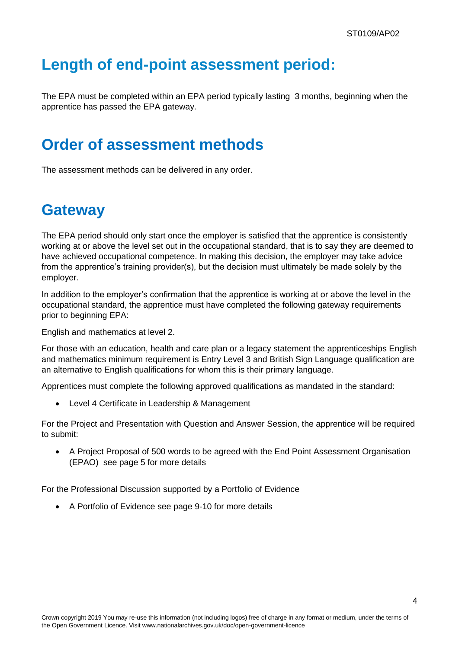## <span id="page-3-0"></span>**Length of end-point assessment period:**

The EPA must be completed within an EPA period typically lasting 3 months, beginning when the apprentice has passed the EPA gateway.

## <span id="page-3-1"></span>**Order of assessment methods**

The assessment methods can be delivered in any order.

## <span id="page-3-2"></span>**Gateway**

The EPA period should only start once the employer is satisfied that the apprentice is consistently working at or above the level set out in the occupational standard, that is to say they are deemed to have achieved occupational competence. In making this decision, the employer may take advice from the apprentice's training provider(s), but the decision must ultimately be made solely by the employer.

In addition to the employer's confirmation that the apprentice is working at or above the level in the occupational standard, the apprentice must have completed the following gateway requirements prior to beginning EPA:

English and mathematics at level 2.

For those with an education, health and care plan or a legacy statement the apprenticeships English and mathematics minimum requirement is Entry Level 3 and British Sign Language qualification are an alternative to English qualifications for whom this is their primary language.

Apprentices must complete the following approved qualifications as mandated in the standard:

• Level 4 Certificate in Leadership & Management

For the Project and Presentation with Question and Answer Session, the apprentice will be required to submit:

• A Project Proposal of 500 words to be agreed with the End Point Assessment Organisation (EPAO) see page 5 for more details

For the Professional Discussion supported by a Portfolio of Evidence

• A Portfolio of Evidence see page 9-10 for more details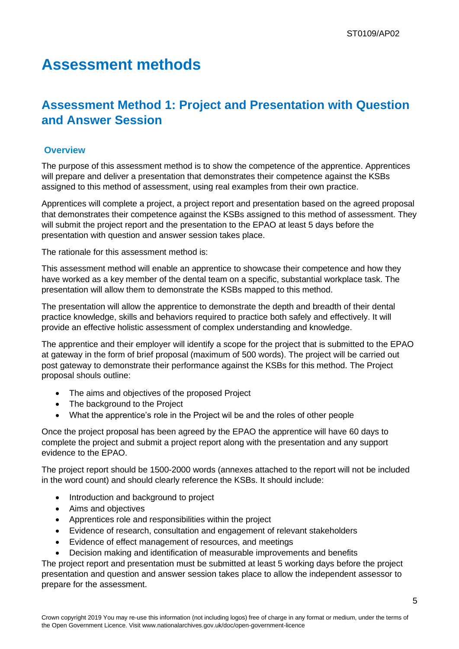## **Assessment methods**

## **Assessment Method 1: Project and Presentation with Question and Answer Session**

#### **Overview**

The purpose of this assessment method is to show the competence of the apprentice. Apprentices will prepare and deliver a presentation that demonstrates their competence against the KSBs assigned to this method of assessment, using real examples from their own practice.

Apprentices will complete a project, a project report and presentation based on the agreed proposal that demonstrates their competence against the KSBs assigned to this method of assessment. They will submit the project report and the presentation to the EPAO at least 5 days before the presentation with question and answer session takes place.

The rationale for this assessment method is:

This assessment method will enable an apprentice to showcase their competence and how they have worked as a key member of the dental team on a specific, substantial workplace task. The presentation will allow them to demonstrate the KSBs mapped to this method.

The presentation will allow the apprentice to demonstrate the depth and breadth of their dental practice knowledge, skills and behaviors required to practice both safely and effectively. It will provide an effective holistic assessment of complex understanding and knowledge.

The apprentice and their employer will identify a scope for the project that is submitted to the EPAO at gateway in the form of brief proposal (maximum of 500 words). The project will be carried out post gateway to demonstrate their performance against the KSBs for this method. The Project proposal shouls outline:

- The aims and objectives of the proposed Project
- The background to the Project
- What the apprentice's role in the Project wil be and the roles of other people

Once the project proposal has been agreed by the EPAO the apprentice will have 60 days to complete the project and submit a project report along with the presentation and any support evidence to the EPAO.

The project report should be 1500-2000 words (annexes attached to the report will not be included in the word count) and should clearly reference the KSBs. It should include:

- Introduction and background to project
- Aims and objectives
- Apprentices role and responsibilities within the project
- Evidence of research, consultation and engagement of relevant stakeholders
- Evidence of effect management of resources, and meetings
- Decision making and identification of measurable improvements and benefits

The project report and presentation must be submitted at least 5 working days before the project presentation and question and answer session takes place to allow the independent assessor to prepare for the assessment.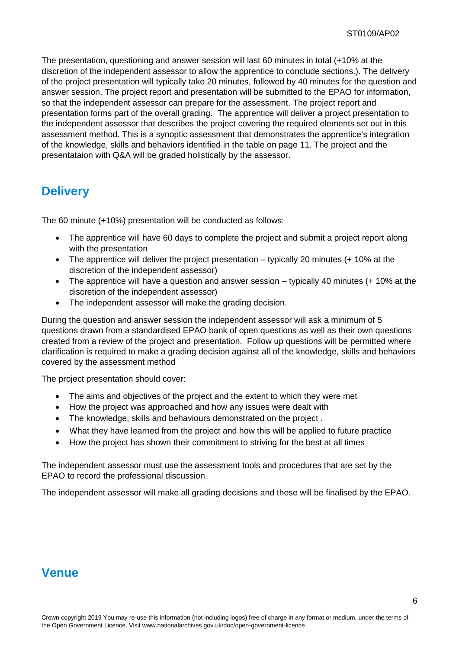The presentation, questioning and answer session will last 60 minutes in total (+10% at the discretion of the independent assessor to allow the apprentice to conclude sections.). The delivery of the project presentation will typically take 20 minutes, followed by 40 minutes for the question and answer session. The project report and presentation will be submitted to the EPAO for information, so that the independent assessor can prepare for the assessment. The project report and presentation forms part of the overall grading. The apprentice will deliver a project presentation to the independent assessor that describes the project covering the required elements set out in this assessment method. This is a synoptic assessment that demonstrates the apprentice's integration of the knowledge, skills and behaviors identified in the table on page 11. The project and the presentataion with Q&A will be graded holistically by the assessor.

#### **Delivery**

The 60 minute (+10%) presentation will be conducted as follows:

- The apprentice will have 60 days to complete the project and submit a project report along with the presentation
- The apprentice will deliver the project presentation typically 20 minutes (+ 10% at the discretion of the independent assessor)
- The apprentice will have a question and answer session typically 40 minutes (+ 10% at the discretion of the independent assessor)
- The independent assessor will make the grading decision.

During the question and answer session the independent assessor will ask a minimum of 5 questions drawn from a standardised EPAO bank of open questions as well as their own questions created from a review of the project and presentation. Follow up questions will be permitted where clarification is required to make a grading decision against all of the knowledge, skills and behaviors covered by the assessment method

The project presentation should cover:

- The aims and objectives of the project and the extent to which they were met
- How the project was approached and how any issues were dealt with
- The knowledge, skills and behaviours demonstrated on the project .
- What they have learned from the project and how this will be applied to future practice
- How the project has shown their commitment to striving for the best at all times

The independent assessor must use the assessment tools and procedures that are set by the EPAO to record the professional discussion.

The independent assessor will make all grading decisions and these will be finalised by the EPAO.

## **Venue**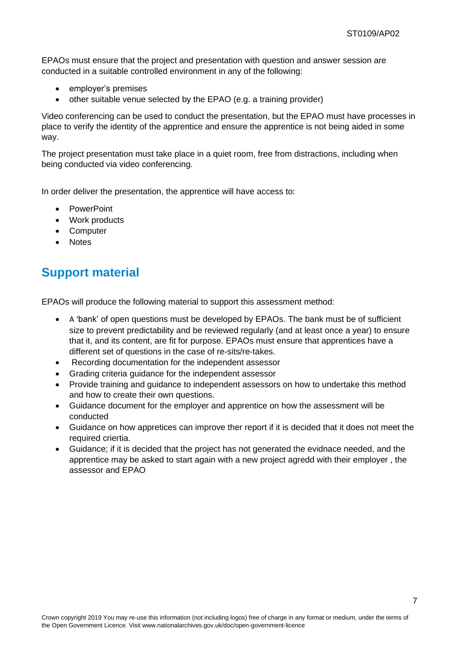EPAOs must ensure that the project and presentation with question and answer session are conducted in a suitable controlled environment in any of the following:

- employer's premises
- other suitable venue selected by the EPAO (e.g. a training provider)

Video conferencing can be used to conduct the presentation, but the EPAO must have processes in place to verify the identity of the apprentice and ensure the apprentice is not being aided in some way.

The project presentation must take place in a quiet room, free from distractions, including when being conducted via video conferencing.

In order deliver the presentation, the apprentice will have access to:

- PowerPoint
- Work products
- Computer
- Notes

### **Support material**

EPAOs will produce the following material to support this assessment method:

- A 'bank' of open questions must be developed by EPAOs. The bank must be of sufficient size to prevent predictability and be reviewed regularly (and at least once a year) to ensure that it, and its content, are fit for purpose. EPAOs must ensure that apprentices have a different set of questions in the case of re-sits/re-takes.
- Recording documentation for the independent assessor
- Grading criteria guidance for the independent assessor
- Provide training and guidance to independent assessors on how to undertake this method and how to create their own questions.
- Guidance document for the employer and apprentice on how the assessment will be conducted
- Guidance on how appretices can improve ther report if it is decided that it does not meet the required criertia.
- Guidance; if it is decided that the project has not generated the evidnace needed, and the apprentice may be asked to start again with a new project agredd with their employer , the assessor and EPAO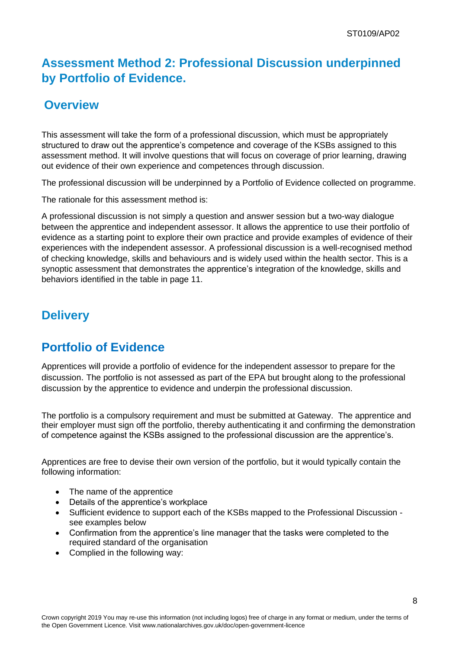### **Assessment Method 2: Professional Discussion underpinned by Portfolio of Evidence.**

#### **Overview**

This assessment will take the form of a professional discussion, which must be appropriately structured to draw out the apprentice's competence and coverage of the KSBs assigned to this assessment method. It will involve questions that will focus on coverage of prior learning, drawing out evidence of their own experience and competences through discussion.

The professional discussion will be underpinned by a Portfolio of Evidence collected on programme.

The rationale for this assessment method is:

A professional discussion is not simply a question and answer session but a two-way dialogue between the apprentice and independent assessor. It allows the apprentice to use their portfolio of evidence as a starting point to explore their own practice and provide examples of evidence of their experiences with the independent assessor. A professional discussion is a well-recognised method of checking knowledge, skills and behaviours and is widely used within the health sector. This is a synoptic assessment that demonstrates the apprentice's integration of the knowledge, skills and behaviors identified in the table in page 11.

## **Delivery**

## **Portfolio of Evidence**

Apprentices will provide a portfolio of evidence for the independent assessor to prepare for the discussion. The portfolio is not assessed as part of the EPA but brought along to the professional discussion by the apprentice to evidence and underpin the professional discussion.

The portfolio is a compulsory requirement and must be submitted at Gateway. The apprentice and their employer must sign off the portfolio, thereby authenticating it and confirming the demonstration of competence against the KSBs assigned to the professional discussion are the apprentice's.

Apprentices are free to devise their own version of the portfolio, but it would typically contain the following information:

- The name of the apprentice
- Details of the apprentice's workplace
- Sufficient evidence to support each of the KSBs mapped to the Professional Discussion see examples below
- Confirmation from the apprentice's line manager that the tasks were completed to the required standard of the organisation
- Complied in the following way: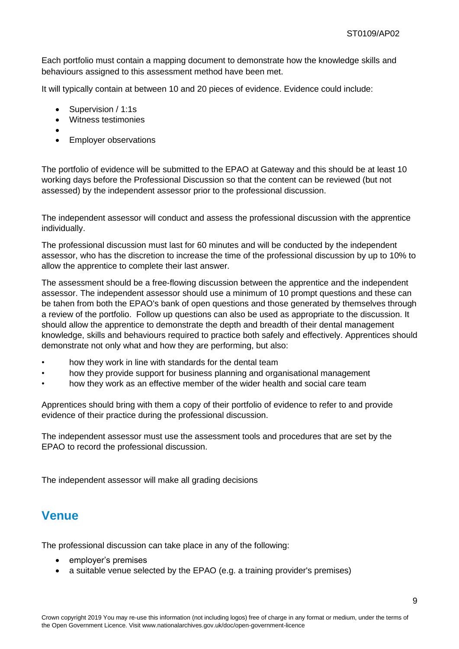Each portfolio must contain a mapping document to demonstrate how the knowledge skills and behaviours assigned to this assessment method have been met.

It will typically contain at between 10 and 20 pieces of evidence. Evidence could include:

- Supervision / 1:1s
- Witness testimonies
- •
- Employer observations

The portfolio of evidence will be submitted to the EPAO at Gateway and this should be at least 10 working days before the Professional Discussion so that the content can be reviewed (but not assessed) by the independent assessor prior to the professional discussion.

The independent assessor will conduct and assess the professional discussion with the apprentice individually.

The professional discussion must last for 60 minutes and will be conducted by the independent assessor, who has the discretion to increase the time of the professional discussion by up to 10% to allow the apprentice to complete their last answer.

The assessment should be a free-flowing discussion between the apprentice and the independent assessor. The independent assessor should use a minimum of 10 prompt questions and these can be tahen from both the EPAO's bank of open questions and those generated by themselves through a review of the portfolio. Follow up questions can also be used as appropriate to the discussion. It should allow the apprentice to demonstrate the depth and breadth of their dental management knowledge, skills and behaviours required to practice both safely and effectively. Apprentices should demonstrate not only what and how they are performing, but also:

- how they work in line with standards for the dental team
- how they provide support for business planning and organisational management
- how they work as an effective member of the wider health and social care team

Apprentices should bring with them a copy of their portfolio of evidence to refer to and provide evidence of their practice during the professional discussion.

The independent assessor must use the assessment tools and procedures that are set by the EPAO to record the professional discussion.

The independent assessor will make all grading decisions

#### **Venue**

The professional discussion can take place in any of the following:

- employer's premises
- a suitable venue selected by the EPAO (e.g. a training provider's premises)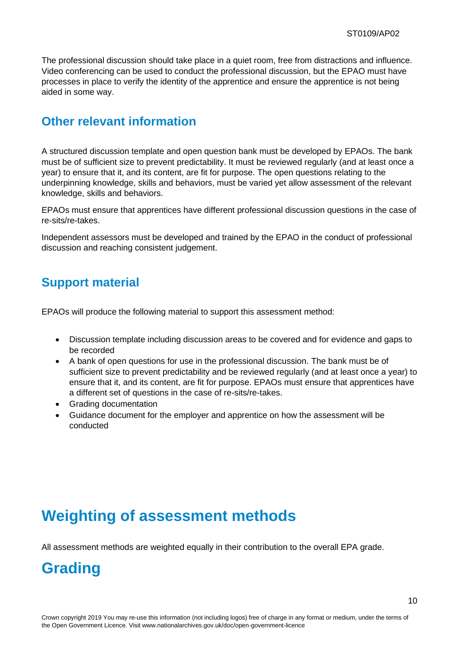The professional discussion should take place in a quiet room, free from distractions and influence. Video conferencing can be used to conduct the professional discussion, but the EPAO must have processes in place to verify the identity of the apprentice and ensure the apprentice is not being aided in some way.

#### **Other relevant information**

A structured discussion template and open question bank must be developed by EPAOs. The bank must be of sufficient size to prevent predictability. It must be reviewed regularly (and at least once a year) to ensure that it, and its content, are fit for purpose. The open questions relating to the underpinning knowledge, skills and behaviors, must be varied yet allow assessment of the relevant knowledge, skills and behaviors.

EPAOs must ensure that apprentices have different professional discussion questions in the case of re-sits/re-takes.

Independent assessors must be developed and trained by the EPAO in the conduct of professional discussion and reaching consistent judgement.

### **Support material**

EPAOs will produce the following material to support this assessment method:

- Discussion template including discussion areas to be covered and for evidence and gaps to be recorded
- A bank of open questions for use in the professional discussion. The bank must be of sufficient size to prevent predictability and be reviewed regularly (and at least once a year) to ensure that it, and its content, are fit for purpose. EPAOs must ensure that apprentices have a different set of questions in the case of re-sits/re-takes.
- Grading documentation
- Guidance document for the employer and apprentice on how the assessment will be conducted

## <span id="page-9-0"></span>**Weighting of assessment methods**

All assessment methods are weighted equally in their contribution to the overall EPA grade.

## <span id="page-9-1"></span>**Grading**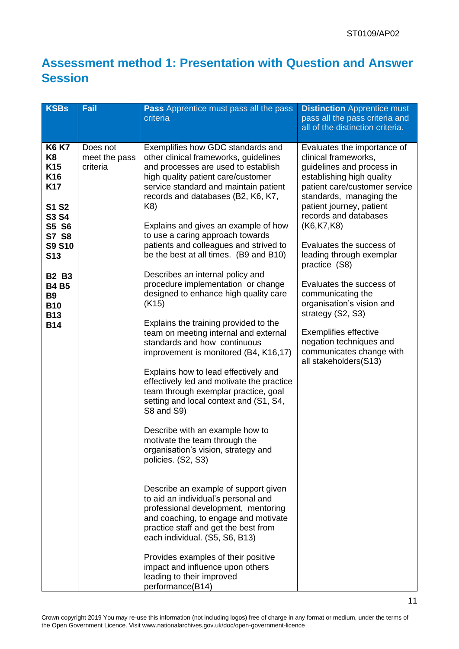## **Assessment method 1: Presentation with Question and Answer Session**

| <b>KSBs</b>                                                                                                                                                                                                                                  | Fail                                  | <b>Pass</b> Apprentice must pass all the pass<br>criteria                                                                                                                                                                                                                                                                                                                                                                                                                                                                                                                                                                                                                                                                                                                                                                                                                                                                                                                                                                                                                                                                                                                                                                                                                                                                                                                                      | <b>Distinction</b> Apprentice must<br>pass all the pass criteria and<br>all of the distinction criteria.                                                                                                                                                                                                                                                                                                                                                                                                                                 |
|----------------------------------------------------------------------------------------------------------------------------------------------------------------------------------------------------------------------------------------------|---------------------------------------|------------------------------------------------------------------------------------------------------------------------------------------------------------------------------------------------------------------------------------------------------------------------------------------------------------------------------------------------------------------------------------------------------------------------------------------------------------------------------------------------------------------------------------------------------------------------------------------------------------------------------------------------------------------------------------------------------------------------------------------------------------------------------------------------------------------------------------------------------------------------------------------------------------------------------------------------------------------------------------------------------------------------------------------------------------------------------------------------------------------------------------------------------------------------------------------------------------------------------------------------------------------------------------------------------------------------------------------------------------------------------------------------|------------------------------------------------------------------------------------------------------------------------------------------------------------------------------------------------------------------------------------------------------------------------------------------------------------------------------------------------------------------------------------------------------------------------------------------------------------------------------------------------------------------------------------------|
| <b>K6 K7</b><br>K8<br>K <sub>15</sub><br>K <sub>16</sub><br><b>K17</b><br><b>S1 S2</b><br>S3 S4<br>S5 S6<br>S7 S8<br><b>S9 S10</b><br>S <sub>13</sub><br><b>B2 B3</b><br><b>B4 B5</b><br><b>B9</b><br><b>B10</b><br><b>B13</b><br><b>B14</b> | Does not<br>meet the pass<br>criteria | Exemplifies how GDC standards and<br>other clinical frameworks, guidelines<br>and processes are used to establish<br>high quality patient care/customer<br>service standard and maintain patient<br>records and databases (B2, K6, K7,<br>K8)<br>Explains and gives an example of how<br>to use a caring approach towards<br>patients and colleagues and strived to<br>be the best at all times. (B9 and B10)<br>Describes an internal policy and<br>procedure implementation or change<br>designed to enhance high quality care<br>(K15)<br>Explains the training provided to the<br>team on meeting internal and external<br>standards and how continuous<br>improvement is monitored (B4, K16,17)<br>Explains how to lead effectively and<br>effectively led and motivate the practice<br>team through exemplar practice, goal<br>setting and local context and (S1, S4,<br>S8 and S9)<br>Describe with an example how to<br>motivate the team through the<br>organisation's vision, strategy and<br>policies. (S2, S3)<br>Describe an example of support given<br>to aid an individual's personal and<br>professional development, mentoring<br>and coaching, to engage and motivate<br>practice staff and get the best from<br>each individual. (S5, S6, B13)<br>Provides examples of their positive<br>impact and influence upon others<br>leading to their improved<br>performance(B14) | Evaluates the importance of<br>clinical frameworks,<br>guidelines and process in<br>establishing high quality<br>patient care/customer service<br>standards, managing the<br>patient journey, patient<br>records and databases<br>(K6,K7,K8)<br>Evaluates the success of<br>leading through exemplar<br>practice (S8)<br>Evaluates the success of<br>communicating the<br>organisation's vision and<br>strategy (S2, S3)<br><b>Exemplifies effective</b><br>negation techniques and<br>communicates change with<br>all stakeholders(S13) |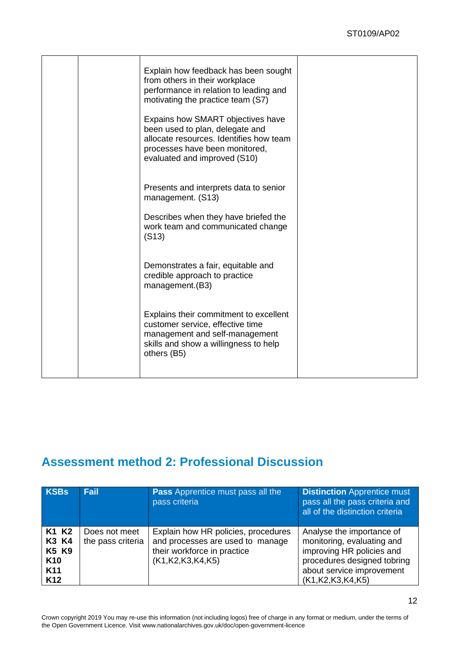|  | Explain how feedback has been sought<br>from others in their workplace<br>performance in relation to leading and<br>motivating the practice team (S7)                             |  |
|--|-----------------------------------------------------------------------------------------------------------------------------------------------------------------------------------|--|
|  | Expains how SMART objectives have<br>been used to plan, delegate and<br>allocate resources. Identifies how team<br>processes have been monitored,<br>evaluated and improved (S10) |  |
|  | Presents and interprets data to senior<br>management. (S13)                                                                                                                       |  |
|  | Describes when they have briefed the<br>work team and communicated change<br>(S13)                                                                                                |  |
|  | Demonstrates a fair, equitable and<br>credible approach to practice<br>management.(B3)                                                                                            |  |
|  | Explains their commitment to excellent<br>customer service, effective time<br>management and self-management<br>skills and show a willingness to help<br>others (B5)              |  |
|  |                                                                                                                                                                                   |  |

## **Assessment method 2: Professional Discussion**

| <b>KSBs</b>                                                                             | <b>Fail</b>                        | <b>Pass</b> Apprentice must pass all the<br>pass criteria                                                                      | <b>Distinction</b> Apprentice must<br>pass all the pass criteria and<br>all of the distinction criteria.                                                             |
|-----------------------------------------------------------------------------------------|------------------------------------|--------------------------------------------------------------------------------------------------------------------------------|----------------------------------------------------------------------------------------------------------------------------------------------------------------------|
| K1 K2<br>K3 K4<br><b>K5 K9</b><br>K <sub>10</sub><br>K <sub>11</sub><br>K <sub>12</sub> | Does not meet<br>the pass criteria | Explain how HR policies, procedures<br>and processes are used to manage<br>their workforce in practice<br>(K1, K2, K3, K4, K5) | Analyse the importance of<br>monitoring, evaluating and<br>improving HR policies and<br>procedures designed tobring<br>about service improvement<br>(K1,K2,K3,K4,K5) |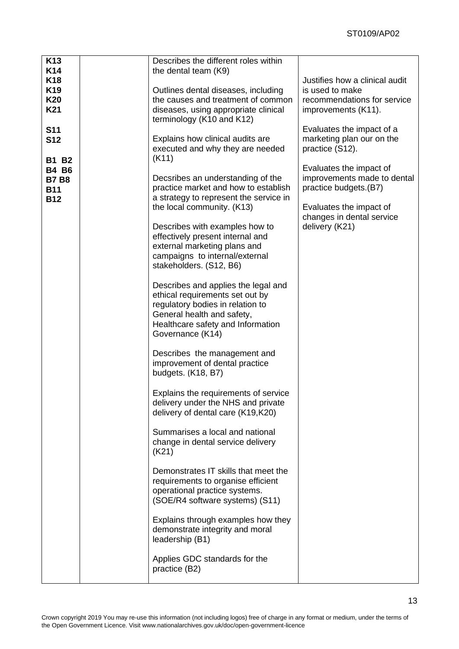| K <sub>13</sub><br>K14                                   | Describes the different roles within<br>the dental team (K9)                                                                                                                                      |                                                                                  |
|----------------------------------------------------------|---------------------------------------------------------------------------------------------------------------------------------------------------------------------------------------------------|----------------------------------------------------------------------------------|
| <b>K18</b><br>K <sub>19</sub><br>K20                     | Outlines dental diseases, including<br>the causes and treatment of common                                                                                                                         | Justifies how a clinical audit<br>is used to make<br>recommendations for service |
| K21<br><b>S11</b>                                        | diseases, using appropriate clinical<br>terminology (K10 and K12)                                                                                                                                 | improvements (K11).<br>Evaluates the impact of a                                 |
| <b>S12</b><br><b>B1 B2</b>                               | Explains how clinical audits are<br>executed and why they are needed<br>(K11)                                                                                                                     | marketing plan our on the<br>practice (S12).                                     |
| <b>B4 B6</b><br><b>B7 B8</b><br><b>B11</b><br><b>B12</b> | Decsribes an understanding of the<br>practice market and how to establish<br>a strategy to represent the service in                                                                               | Evaluates the impact of<br>improvements made to dental<br>practice budgets.(B7)  |
|                                                          | the local community. (K13)<br>Describes with examples how to                                                                                                                                      | Evaluates the impact of<br>changes in dental service<br>delivery (K21)           |
|                                                          | effectively present internal and<br>external marketing plans and<br>campaigns to internal/external<br>stakeholders. (S12, B6)                                                                     |                                                                                  |
|                                                          | Describes and applies the legal and<br>ethical requirements set out by<br>regulatory bodies in relation to<br>General health and safety,<br>Healthcare safety and Information<br>Governance (K14) |                                                                                  |
|                                                          | Describes the management and<br>improvement of dental practice<br>budgets. (K18, B7)                                                                                                              |                                                                                  |
|                                                          | Explains the requirements of service<br>delivery under the NHS and private<br>delivery of dental care (K19,K20)                                                                                   |                                                                                  |
|                                                          | Summarises a local and national<br>change in dental service delivery<br>(K21)                                                                                                                     |                                                                                  |
|                                                          | Demonstrates IT skills that meet the<br>requirements to organise efficient<br>operational practice systems.<br>(SOE/R4 software systems) (S11)                                                    |                                                                                  |
|                                                          | Explains through examples how they<br>demonstrate integrity and moral<br>leadership (B1)                                                                                                          |                                                                                  |
|                                                          | Applies GDC standards for the<br>practice (B2)                                                                                                                                                    |                                                                                  |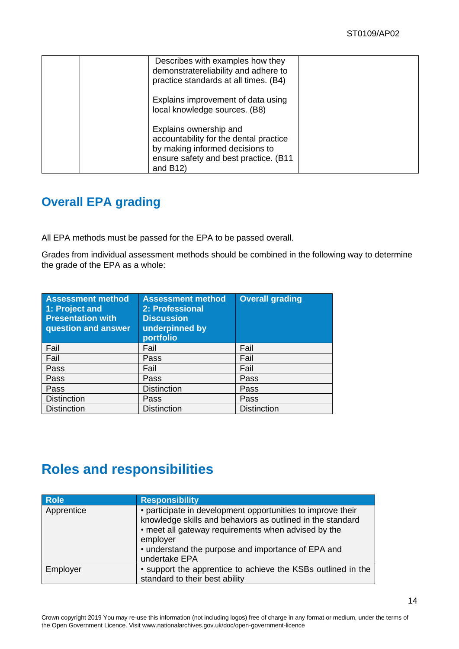| Describes with examples how they<br>demonstratereliability and adhere to<br>practice standards at all times. (B4)                                           |  |
|-------------------------------------------------------------------------------------------------------------------------------------------------------------|--|
| Explains improvement of data using<br>local knowledge sources. (B8)                                                                                         |  |
| Explains ownership and<br>accountability for the dental practice<br>by making informed decisions to<br>ensure safety and best practice. (B11<br>and $B(12)$ |  |

## **Overall EPA grading**

All EPA methods must be passed for the EPA to be passed overall.

Grades from individual assessment methods should be combined in the following way to determine the grade of the EPA as a whole:

| <b>Assessment method</b><br>1: Project and<br><b>Presentation with</b><br>question and answer | <b>Assessment method</b><br>2: Professional<br><b>Discussion</b><br>underpinned by<br>portfolio | <b>Overall grading</b> |
|-----------------------------------------------------------------------------------------------|-------------------------------------------------------------------------------------------------|------------------------|
| Fail                                                                                          | Fail                                                                                            | Fail                   |
| Fail                                                                                          | Pass                                                                                            | Fail                   |
| Pass                                                                                          | Fail                                                                                            | Fail                   |
| Pass                                                                                          | Pass                                                                                            | Pass                   |
| Pass                                                                                          | <b>Distinction</b>                                                                              | Pass                   |
| <b>Distinction</b>                                                                            | Pass                                                                                            | Pass                   |
| <b>Distinction</b>                                                                            | <b>Distinction</b>                                                                              | <b>Distinction</b>     |

## **Roles and responsibilities**

| <b>Role</b> | <b>Responsibility</b>                                                                                                                                                                                                                                               |
|-------------|---------------------------------------------------------------------------------------------------------------------------------------------------------------------------------------------------------------------------------------------------------------------|
| Apprentice  | • participate in development opportunities to improve their<br>knowledge skills and behaviors as outlined in the standard<br>• meet all gateway requirements when advised by the<br>employer<br>• understand the purpose and importance of EPA and<br>undertake EPA |
| Employer    | • support the apprentice to achieve the KSBs outlined in the                                                                                                                                                                                                        |
|             | standard to their best ability                                                                                                                                                                                                                                      |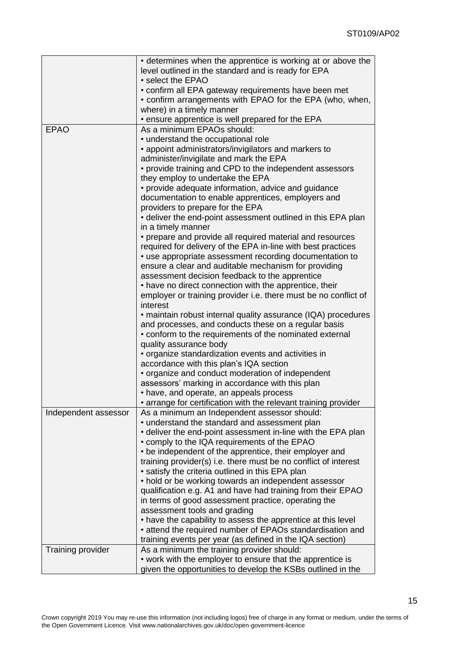|                          | • determines when the apprentice is working at or above the                                 |
|--------------------------|---------------------------------------------------------------------------------------------|
|                          | level outlined in the standard and is ready for EPA                                         |
|                          | • select the EPAO                                                                           |
|                          | • confirm all EPA gateway requirements have been met                                        |
|                          | • confirm arrangements with EPAO for the EPA (who, when,                                    |
|                          | where) in a timely manner                                                                   |
|                          | . ensure apprentice is well prepared for the EPA                                            |
| <b>EPAO</b>              | As a minimum EPAOs should:                                                                  |
|                          | • understand the occupational role                                                          |
|                          | • appoint administrators/invigilators and markers to                                        |
|                          |                                                                                             |
|                          | administer/invigilate and mark the EPA                                                      |
|                          | • provide training and CPD to the independent assessors<br>they employ to undertake the EPA |
|                          | • provide adequate information, advice and guidance                                         |
|                          | documentation to enable apprentices, employers and                                          |
|                          | providers to prepare for the EPA                                                            |
|                          | • deliver the end-point assessment outlined in this EPA plan                                |
|                          | in a timely manner                                                                          |
|                          | • prepare and provide all required material and resources                                   |
|                          | required for delivery of the EPA in-line with best practices                                |
|                          | • use appropriate assessment recording documentation to                                     |
|                          | ensure a clear and auditable mechanism for providing                                        |
|                          | assessment decision feedback to the apprentice                                              |
|                          | • have no direct connection with the apprentice, their                                      |
|                          | employer or training provider i.e. there must be no conflict of                             |
|                          | interest                                                                                    |
|                          | • maintain robust internal quality assurance (IQA) procedures                               |
|                          | and processes, and conducts these on a regular basis                                        |
|                          | • conform to the requirements of the nominated external                                     |
|                          | quality assurance body                                                                      |
|                          | • organize standardization events and activities in                                         |
|                          | accordance with this plan's IQA section                                                     |
|                          | • organize and conduct moderation of independent                                            |
|                          | assessors' marking in accordance with this plan                                             |
|                          | • have, and operate, an appeals process                                                     |
|                          | arrange for certification with the relevant training provider                               |
| Independent assessor     | As a minimum an Independent assessor should:                                                |
|                          | • understand the standard and assessment plan                                               |
|                          | • deliver the end-point assessment in-line with the EPA plan                                |
|                          | • comply to the IQA requirements of the EPAO                                                |
|                          | • be independent of the apprentice, their employer and                                      |
|                          | training provider(s) i.e. there must be no conflict of interest                             |
|                          | • satisfy the criteria outlined in this EPA plan                                            |
|                          | • hold or be working towards an independent assessor                                        |
|                          | qualification e.g. A1 and have had training from their EPAO                                 |
|                          |                                                                                             |
|                          | in terms of good assessment practice, operating the                                         |
|                          | assessment tools and grading                                                                |
|                          | • have the capability to assess the apprentice at this level                                |
|                          | • attend the required number of EPAOs standardisation and                                   |
|                          | training events per year (as defined in the IQA section)                                    |
| <b>Training provider</b> | As a minimum the training provider should:                                                  |
|                          | • work with the employer to ensure that the apprentice is                                   |
|                          | given the opportunities to develop the KSBs outlined in the                                 |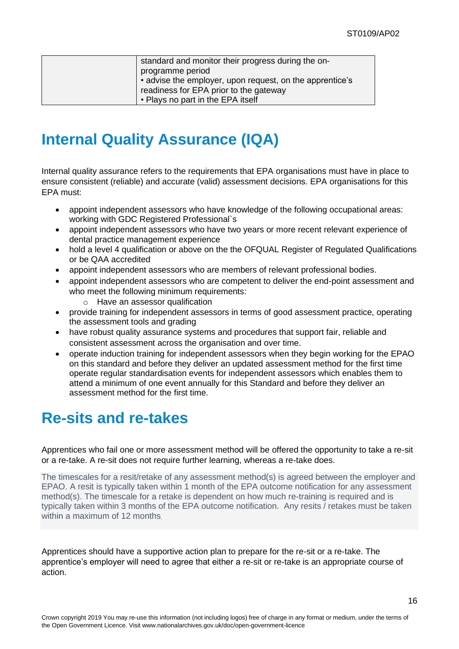| standard and monitor their progress during the on-<br>programme period<br>• advise the employer, upon request, on the apprentice's<br>readiness for EPA prior to the gateway |
|------------------------------------------------------------------------------------------------------------------------------------------------------------------------------|
| • Plays no part in the EPA itself                                                                                                                                            |

# <span id="page-15-0"></span>**Internal Quality Assurance (IQA)**

Internal quality assurance refers to the requirements that EPA organisations must have in place to ensure consistent (reliable) and accurate (valid) assessment decisions. EPA organisations for this EPA must:

- appoint independent assessors who have knowledge of the following occupational areas: working with GDC Registered Professional`s
- appoint independent assessors who have two years or more recent relevant experience of dental practice management experience
- hold a level 4 qualification or above on the the OFQUAL Register of Regulated Qualifications or be QAA accredited
- appoint independent assessors who are members of relevant professional bodies.
- appoint independent assessors who are competent to deliver the end-point assessment and who meet the following minimum requirements:
	- o Have an assessor qualification
- provide training for independent assessors in terms of good assessment practice, operating the assessment tools and grading
- have robust quality assurance systems and procedures that support fair, reliable and consistent assessment across the organisation and over time.
- operate induction training for independent assessors when they begin working for the EPAO on this standard and before they deliver an updated assessment method for the first time operate regular standardisation events for independent assessors which enables them to attend a minimum of one event annually for this Standard and before they deliver an assessment method for the first time.

## <span id="page-15-1"></span>**Re-sits and re-takes**

Apprentices who fail one or more assessment method will be offered the opportunity to take a re-sit or a re-take. A re-sit does not require further learning, whereas a re-take does.

The timescales for a resit/retake of any assessment method(s) is agreed between the employer and EPAO. A resit is typically taken within 1 month of the EPA outcome notification for any assessment method(s). The timescale for a retake is dependent on how much re-training is required and is typically taken within 3 months of the EPA outcome notification. Any resits / retakes must be taken within a maximum of 12 months.

Apprentices should have a supportive action plan to prepare for the re-sit or a re-take. The apprentice's employer will need to agree that either a re-sit or re-take is an appropriate course of action.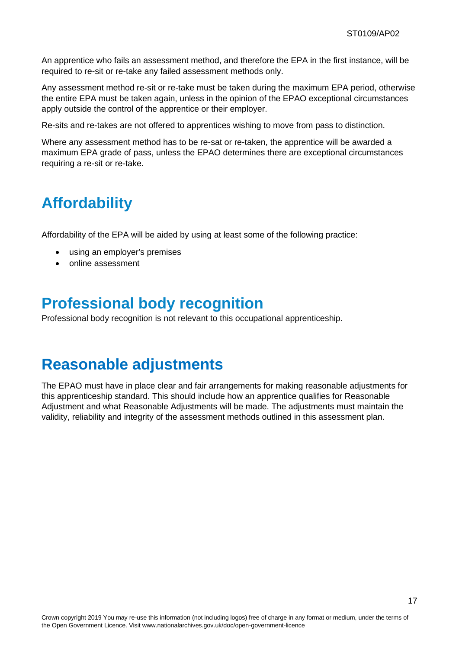An apprentice who fails an assessment method, and therefore the EPA in the first instance, will be required to re-sit or re-take any failed assessment methods only.

Any assessment method re-sit or re-take must be taken during the maximum EPA period, otherwise the entire EPA must be taken again, unless in the opinion of the EPAO exceptional circumstances apply outside the control of the apprentice or their employer.

Re-sits and re-takes are not offered to apprentices wishing to move from pass to distinction.

Where any assessment method has to be re-sat or re-taken, the apprentice will be awarded a maximum EPA grade of pass, unless the EPAO determines there are exceptional circumstances requiring a re-sit or re-take.

## <span id="page-16-0"></span>**Affordability**

Affordability of the EPA will be aided by using at least some of the following practice:

- using an employer's premises
- online assessment

## <span id="page-16-1"></span>**Professional body recognition**

Professional body recognition is not relevant to this occupational apprenticeship.

## **Reasonable adjustments**

The EPAO must have in place clear and fair arrangements for making reasonable adjustments for this apprenticeship standard. This should include how an apprentice qualifies for Reasonable Adjustment and what Reasonable Adjustments will be made. The adjustments must maintain the validity, reliability and integrity of the assessment methods outlined in this assessment plan.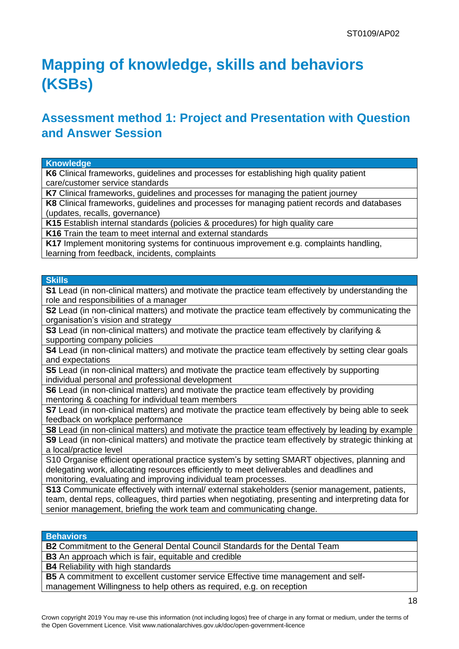# <span id="page-17-0"></span>**Mapping of knowledge, skills and behaviors (KSBs)**

## **Assessment method 1: Project and Presentation with Question and Answer Session**

#### **Knowledge**

**K6** Clinical frameworks, guidelines and processes for establishing high quality patient care/customer service standards

**K7** Clinical frameworks, guidelines and processes for managing the patient journey

**K8** Clinical frameworks, guidelines and processes for managing patient records and databases (updates, recalls, governance)

**K15** Establish internal standards (policies & procedures) for high quality care

**K16** Train the team to meet internal and external standards

**K17** Implement monitoring systems for continuous improvement e.g. complaints handling, learning from feedback, incidents, complaints

#### **Skills**

**S1** Lead (in non-clinical matters) and motivate the practice team effectively by understanding the role and responsibilities of a manager

**S2** Lead (in non-clinical matters) and motivate the practice team effectively by communicating the organisation's vision and strategy

**S3** Lead (in non-clinical matters) and motivate the practice team effectively by clarifying & supporting company policies

**S4** Lead (in non-clinical matters) and motivate the practice team effectively by setting clear goals and expectations

**S5** Lead (in non-clinical matters) and motivate the practice team effectively by supporting individual personal and professional development

**S6** Lead (in non-clinical matters) and motivate the practice team effectively by providing mentoring & coaching for individual team members

**S7** Lead (in non-clinical matters) and motivate the practice team effectively by being able to seek feedback on workplace performance

**S8** Lead (in non-clinical matters) and motivate the practice team effectively by leading by example

**S9** Lead (in non-clinical matters) and motivate the practice team effectively by strategic thinking at a local/practice level

S10 Organise efficient operational practice system's by setting SMART objectives, planning and delegating work, allocating resources efficiently to meet deliverables and deadlines and monitoring, evaluating and improving individual team processes.

**S13** Communicate effectively with internal/ external stakeholders (senior management, patients, team, dental reps, colleagues, third parties when negotiating, presenting and interpreting data for senior management, briefing the work team and communicating change.

#### **Behaviors**

**B2** Commitment to the General Dental Council Standards for the Dental Team

**B3** An approach which is fair, equitable and credible

**B4** Reliability with high standards

**B5** A commitment to excellent customer service Effective time management and selfmanagement Willingness to help others as required, e.g. on reception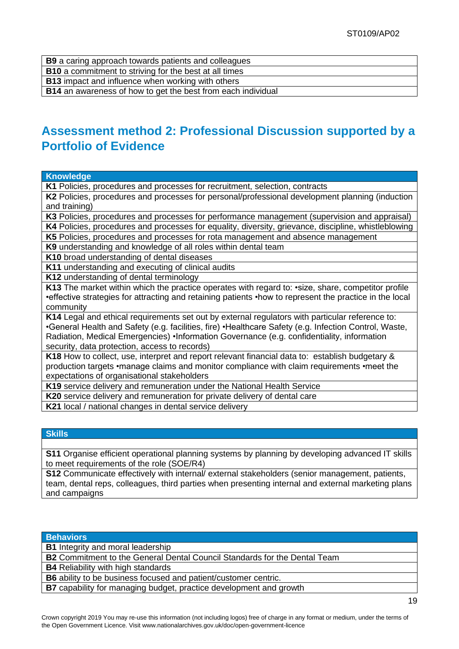**B9** a caring approach towards patients and colleagues

**B10** a commitment to striving for the best at all times

**B13** impact and influence when working with others

**B14** an awareness of how to get the best from each individual

## **Assessment method 2: Professional Discussion supported by a Portfolio of Evidence**

#### **Knowledge**

**K1** Policies, procedures and processes for recruitment, selection, contracts

**K2** Policies, procedures and processes for personal/professional development planning (induction and training)

**K3** Policies, procedures and processes for performance management (supervision and appraisal) **K4** Policies, procedures and processes for equality, diversity, grievance, discipline, whistleblowing

**K5** Policies, procedures and processes for rota management and absence management

**K9** understanding and knowledge of all roles within dental team

**K10** broad understanding of dental diseases

**K11** understanding and executing of clinical audits

**K12** understanding of dental terminology

K13 The market within which the practice operates with regard to: • size, share, competitor profile •effective strategies for attracting and retaining patients •how to represent the practice in the local community

**K14** Legal and ethical requirements set out by external regulators with particular reference to: •General Health and Safety (e.g. facilities, fire) •Healthcare Safety (e.g. Infection Control, Waste, Radiation, Medical Emergencies) •Information Governance (e.g. confidentiality, information security, data protection, access to records)

**K18** How to collect, use, interpret and report relevant financial data to: establish budgetary & production targets •manage claims and monitor compliance with claim requirements •meet the expectations of organisational stakeholders

**K19** service delivery and remuneration under the National Health Service

**K20** service delivery and remuneration for private delivery of dental care

**K21** local / national changes in dental service delivery

#### **Skills**

**S11** Organise efficient operational planning systems by planning by developing advanced IT skills to meet requirements of the role (SOE/R4)

**S12** Communicate effectively with internal/ external stakeholders (senior management, patients, team, dental reps, colleagues, third parties when presenting internal and external marketing plans and campaigns

#### **Behaviors**

**B1** Integrity and moral leadership

**B2** Commitment to the General Dental Council Standards for the Dental Team

**B4** Reliability with high standards

**B6** ability to be business focused and patient/customer centric.

**B7** capability for managing budget, practice development and growth